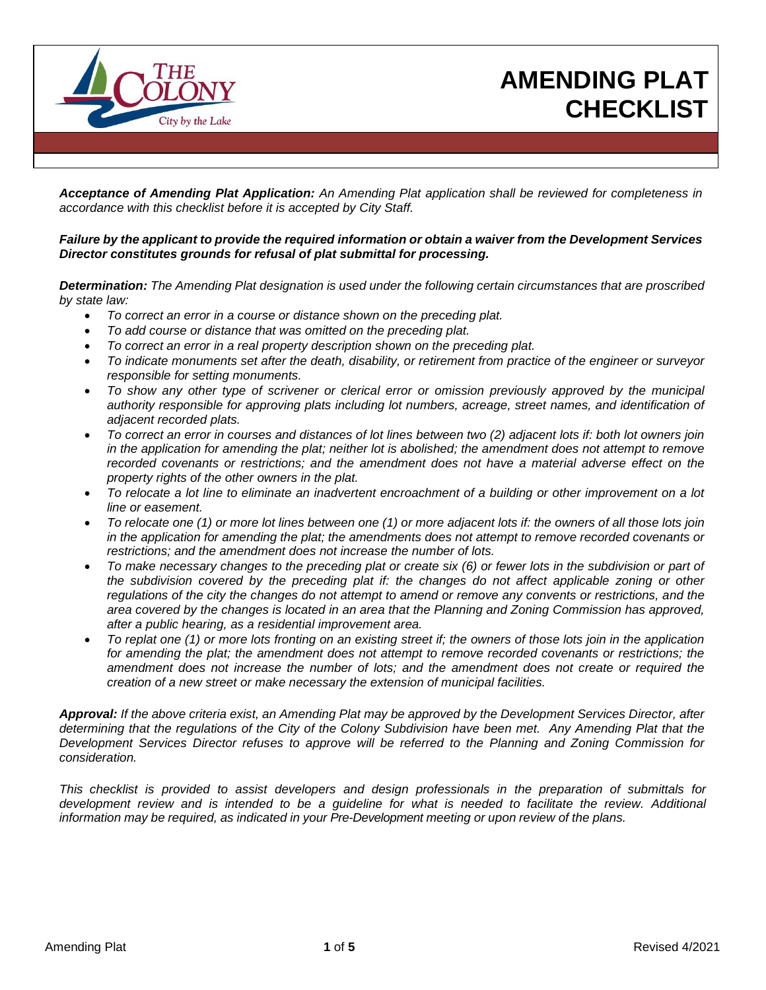

City by the Lake

*Acceptance of Amending Plat Application: An Amending Plat application shall be reviewed for completeness in accordance with this checklist before it is accepted by City Staff.* 

#### *Failure by the applicant to provide the required information or obtain a waiver from the Development Services Director constitutes grounds for refusal of plat submittal for processing.*

*Determination: The Amending Plat designation is used under the following certain circumstances that are proscribed by state law:*

- *To correct an error in a course or distance shown on the preceding plat.*
- *To add course or distance that was omitted on the preceding plat.*
- *To correct an error in a real property description shown on the preceding plat.*
- *To indicate monuments set after the death, disability, or retirement from practice of the engineer or surveyor responsible for setting monuments.*
- *To show any other type of scrivener or clerical error or omission previously approved by the municipal authority responsible for approving plats including lot numbers, acreage, street names, and identification of adjacent recorded plats.*
- *To correct an error in courses and distances of lot lines between two (2) adjacent lots if: both lot owners join in the application for amending the plat; neither lot is abolished; the amendment does not attempt to remove recorded covenants or restrictions; and the amendment does not have a material adverse effect on the property rights of the other owners in the plat.*
- *To relocate a lot line to eliminate an inadvertent encroachment of a building or other improvement on a lot line or easement.*
- *To relocate one (1) or more lot lines between one (1) or more adjacent lots if: the owners of all those lots join in the application for amending the plat; the amendments does not attempt to remove recorded covenants or restrictions; and the amendment does not increase the number of lots.*
- *To make necessary changes to the preceding plat or create six (6) or fewer lots in the subdivision or part of the subdivision covered by the preceding plat if: the changes do not affect applicable zoning or other regulations of the city the changes do not attempt to amend or remove any convents or restrictions, and the area covered by the changes is located in an area that the Planning and Zoning Commission has approved, after a public hearing, as a residential improvement area.*
- *To replat one (1) or more lots fronting on an existing street if; the owners of those lots join in the application*  for amending the plat; the amendment does not attempt to remove recorded covenants or restrictions; the *amendment does not increase the number of lots; and the amendment does not create or required the creation of a new street or make necessary the extension of municipal facilities.*

*Approval: If the above criteria exist, an Amending Plat may be approved by the Development Services Director, after determining that the regulations of the City of the Colony Subdivision have been met. Any Amending Plat that the Development Services Director refuses to approve will be referred to the Planning and Zoning Commission for consideration.* 

*This checklist is provided to assist developers and design professionals in the preparation of submittals for* development review and is intended to be a quideline for what is needed to facilitate the review. Additional *information may be required, as indicated in your Pre-Development meeting or upon review of the plans.*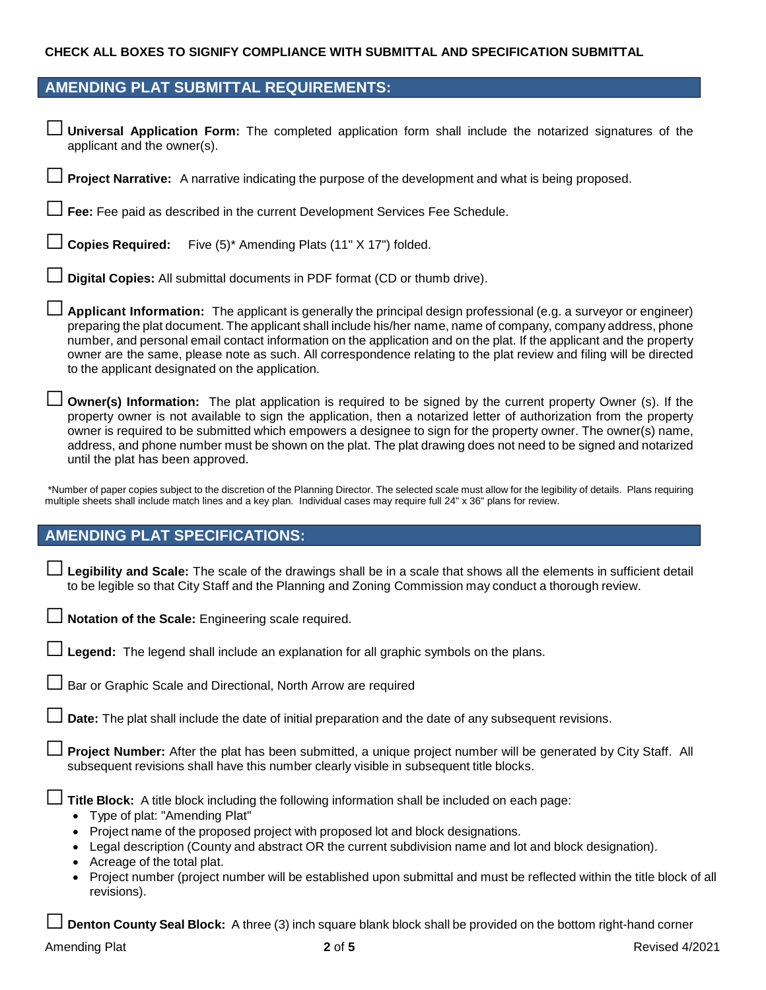### **CHECK ALL BOXES TO SIGNIFY COMPLIANCE WITH SUBMITTAL AND SPECIFICATION SUBMITTAL**

## **AMENDING PLAT SUBMITTAL REQUIREMENTS:**

| Universal Application Form: The completed application form shall include the notarized signatures of the<br>applicant and the owner(s).                                                                                                                                                                                                                                                                                                                                                                                               |
|---------------------------------------------------------------------------------------------------------------------------------------------------------------------------------------------------------------------------------------------------------------------------------------------------------------------------------------------------------------------------------------------------------------------------------------------------------------------------------------------------------------------------------------|
| Project Narrative: A narrative indicating the purpose of the development and what is being proposed.                                                                                                                                                                                                                                                                                                                                                                                                                                  |
| Fee: Fee paid as described in the current Development Services Fee Schedule.                                                                                                                                                                                                                                                                                                                                                                                                                                                          |
| Copies Required: Five (5)* Amending Plats (11" X 17") folded.                                                                                                                                                                                                                                                                                                                                                                                                                                                                         |
| Digital Copies: All submittal documents in PDF format (CD or thumb drive).                                                                                                                                                                                                                                                                                                                                                                                                                                                            |
| Applicant Information: The applicant is generally the principal design professional (e.g. a surveyor or engineer)<br>preparing the plat document. The applicant shall include his/her name, name of company, company address, phone<br>number, and personal email contact information on the application and on the plat. If the applicant and the property<br>owner are the same, please note as such. All correspondence relating to the plat review and filing will be directed<br>to the applicant designated on the application. |
| <b>Owner(s) Information:</b> The plat application is required to be signed by the current property Owner (s). If the<br>property owner is not available to sign the application, then a notarized letter of authorization from the property<br>owner is required to be submitted which empowers a designee to sign for the property owner. The owner(s) name,<br>address, and phone number must be shown on the plat. The plat drawing does not need to be signed and notarized<br>until the plat has been approved.                  |
| *Number of paper copies subject to the discretion of the Planning Director. The selected scale must allow for the legibility of details. Plans requiring<br>multiple sheets shall include match lines and a key plan. Individual cases may require full 24" x 36" plans for review.                                                                                                                                                                                                                                                   |
| <b>AMENDING PLAT SPECIFICATIONS:</b>                                                                                                                                                                                                                                                                                                                                                                                                                                                                                                  |
| Legibility and Scale: The scale of the drawings shall be in a scale that shows all the elements in sufficient detail<br>to be legible so that City Staff and the Planning and Zoning Commission may conduct a thorough review.                                                                                                                                                                                                                                                                                                        |
| Notation of the Scale: Engineering scale required.                                                                                                                                                                                                                                                                                                                                                                                                                                                                                    |
| Legend: The legend shall include an explanation for all graphic symbols on the plans.                                                                                                                                                                                                                                                                                                                                                                                                                                                 |
| Bar or Graphic Scale and Directional, North Arrow are required                                                                                                                                                                                                                                                                                                                                                                                                                                                                        |
| Date: The plat shall include the date of initial preparation and the date of any subsequent revisions.                                                                                                                                                                                                                                                                                                                                                                                                                                |
| Project Number: After the plat has been submitted, a unique project number will be generated by City Staff. All<br>subsequent revisions shall have this number clearly visible in subsequent title blocks.                                                                                                                                                                                                                                                                                                                            |
| Title Block: A title block including the following information shall be included on each page:<br>• Type of plat: "Amending Plat"                                                                                                                                                                                                                                                                                                                                                                                                     |

- Project name of the proposed project with proposed lot and block designations.
- Legal description (County and abstract OR the current subdivision name and lot and block designation).
- Acreage of the total plat.
- Project number (project number will be established upon submittal and must be reflected within the title block of all revisions).

□ **Denton County Seal Block:** <sup>A</sup> three (3) inch square blank block shall be provided on the bottom right-hand corner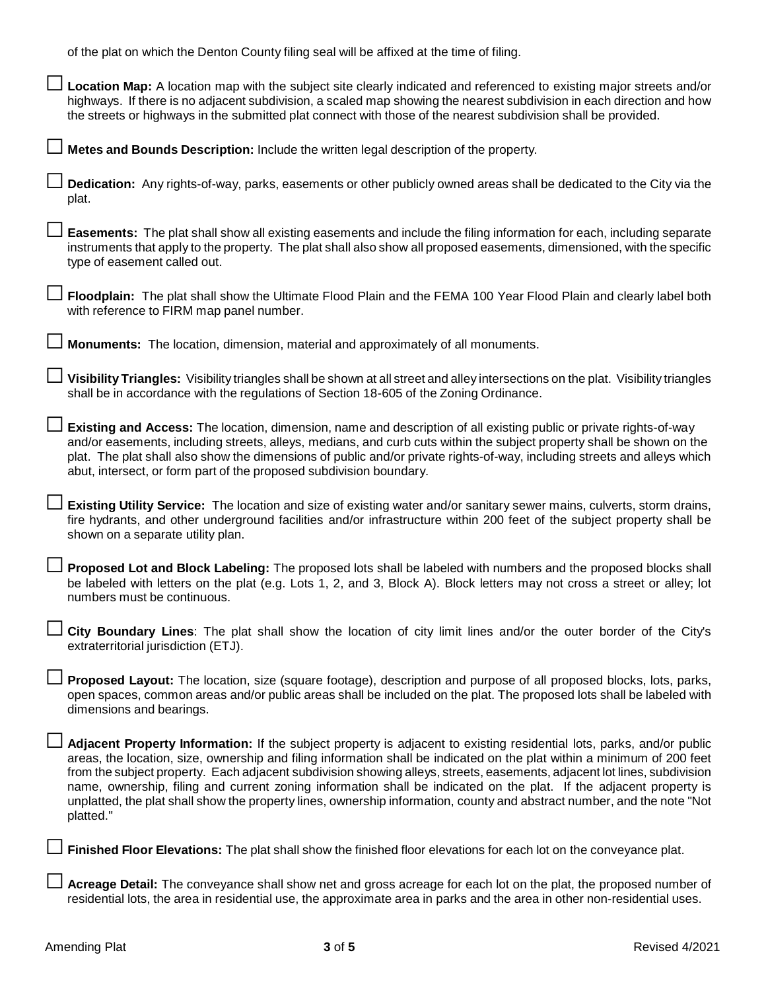| of the plat on which the Denton County filing seal will be affixed at the time of filing.                                                                                                                                                                                                                                                                                                                                                                                                                                                                                                                                                  |
|--------------------------------------------------------------------------------------------------------------------------------------------------------------------------------------------------------------------------------------------------------------------------------------------------------------------------------------------------------------------------------------------------------------------------------------------------------------------------------------------------------------------------------------------------------------------------------------------------------------------------------------------|
| Location Map: A location map with the subject site clearly indicated and referenced to existing major streets and/or<br>highways. If there is no adjacent subdivision, a scaled map showing the nearest subdivision in each direction and how<br>the streets or highways in the submitted plat connect with those of the nearest subdivision shall be provided.                                                                                                                                                                                                                                                                            |
| $\Box$ Metes and Bounds Description: Include the written legal description of the property.                                                                                                                                                                                                                                                                                                                                                                                                                                                                                                                                                |
| □ Dedication: Any rights-of-way, parks, easements or other publicly owned areas shall be dedicated to the City via the<br>plat.                                                                                                                                                                                                                                                                                                                                                                                                                                                                                                            |
| ∟ Easements: The plat shall show all existing easements and include the filing information for each, including separate<br>instruments that apply to the property. The plat shall also show all proposed easements, dimensioned, with the specific<br>type of easement called out.                                                                                                                                                                                                                                                                                                                                                         |
| Floodplain: The plat shall show the Ultimate Flood Plain and the FEMA 100 Year Flood Plain and clearly label both<br>with reference to FIRM map panel number.                                                                                                                                                                                                                                                                                                                                                                                                                                                                              |
| <b>Monuments:</b> The location, dimension, material and approximately of all monuments.                                                                                                                                                                                                                                                                                                                                                                                                                                                                                                                                                    |
| ■ Visibility Triangles: Visibility triangles shall be shown at all street and alley intersections on the plat. Visibility triangles<br>shall be in accordance with the regulations of Section 18-605 of the Zoning Ordinance.                                                                                                                                                                                                                                                                                                                                                                                                              |
| Existing and Access: The location, dimension, name and description of all existing public or private rights-of-way<br>and/or easements, including streets, alleys, medians, and curb cuts within the subject property shall be shown on the<br>plat. The plat shall also show the dimensions of public and/or private rights-of-way, including streets and alleys which<br>abut, intersect, or form part of the proposed subdivision boundary.                                                                                                                                                                                             |
| Existing Utility Service: The location and size of existing water and/or sanitary sewer mains, culverts, storm drains,<br>fire hydrants, and other underground facilities and/or infrastructure within 200 feet of the subject property shall be<br>shown on a separate utility plan.                                                                                                                                                                                                                                                                                                                                                      |
| □ Proposed Lot and Block Labeling: The proposed lots shall be labeled with numbers and the proposed blocks shall<br>be labeled with letters on the plat (e.g. Lots 1, 2, and 3, Block A). Block letters may not cross a street or alley; lot<br>numbers must be continuous.                                                                                                                                                                                                                                                                                                                                                                |
| City Boundary Lines: The plat shall show the location of city limit lines and/or the outer border of the City's<br>extraterritorial jurisdiction (ETJ).                                                                                                                                                                                                                                                                                                                                                                                                                                                                                    |
| Proposed Layout: The location, size (square footage), description and purpose of all proposed blocks, lots, parks,<br>open spaces, common areas and/or public areas shall be included on the plat. The proposed lots shall be labeled with<br>dimensions and bearings.                                                                                                                                                                                                                                                                                                                                                                     |
| Adjacent Property Information: If the subject property is adjacent to existing residential lots, parks, and/or public<br>areas, the location, size, ownership and filing information shall be indicated on the plat within a minimum of 200 feet<br>from the subject property. Each adjacent subdivision showing alleys, streets, easements, adjacent lot lines, subdivision<br>name, ownership, filing and current zoning information shall be indicated on the plat. If the adjacent property is<br>unplatted, the plat shall show the property lines, ownership information, county and abstract number, and the note "Not<br>platted." |
| Finished Floor Elevations: The plat shall show the finished floor elevations for each lot on the conveyance plat.                                                                                                                                                                                                                                                                                                                                                                                                                                                                                                                          |

Acreage Detail: The conveyance shall show net and gross acreage for each lot on the plat, the proposed number of<br>residential lots, the area in residential use, the approximate area in parks and the area in other non-reside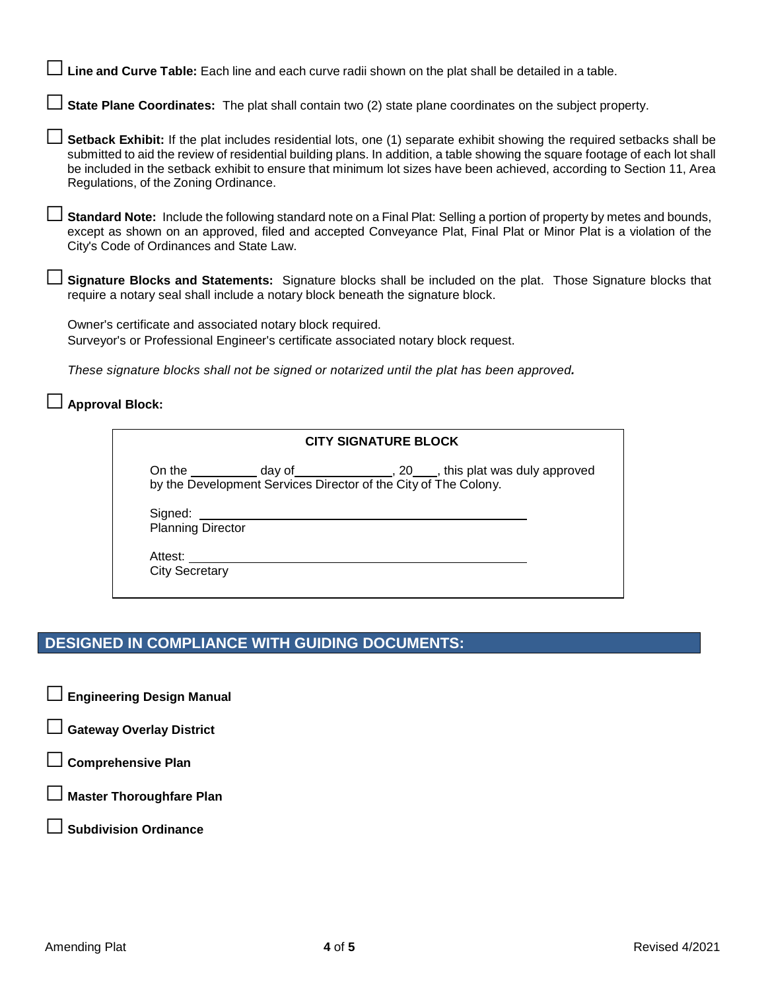| Line and Curve Table: Each line and each curve radii shown on the plat shall be detailed in a table.                                                                                                                                                                                                                                                                                                                      |  |  |
|---------------------------------------------------------------------------------------------------------------------------------------------------------------------------------------------------------------------------------------------------------------------------------------------------------------------------------------------------------------------------------------------------------------------------|--|--|
| State Plane Coordinates: The plat shall contain two (2) state plane coordinates on the subject property.                                                                                                                                                                                                                                                                                                                  |  |  |
| Setback Exhibit: If the plat includes residential lots, one (1) separate exhibit showing the required setbacks shall be<br>submitted to aid the review of residential building plans. In addition, a table showing the square footage of each lot shall<br>be included in the setback exhibit to ensure that minimum lot sizes have been achieved, according to Section 11, Area<br>Regulations, of the Zoning Ordinance. |  |  |
| Standard Note: Include the following standard note on a Final Plat: Selling a portion of property by metes and bounds,<br>except as shown on an approved, filed and accepted Conveyance Plat, Final Plat or Minor Plat is a violation of the<br>City's Code of Ordinances and State Law.                                                                                                                                  |  |  |
| Signature Blocks and Statements: Signature blocks shall be included on the plat. Those Signature blocks that<br>require a notary seal shall include a notary block beneath the signature block.                                                                                                                                                                                                                           |  |  |
| Owner's certificate and associated notary block required.<br>Surveyor's or Professional Engineer's certificate associated notary block request.                                                                                                                                                                                                                                                                           |  |  |
| These signature blocks shall not be signed or notarized until the plat has been approved.                                                                                                                                                                                                                                                                                                                                 |  |  |
| <b>Approval Block:</b>                                                                                                                                                                                                                                                                                                                                                                                                    |  |  |
| <b>CITY SIGNATURE BLOCK</b>                                                                                                                                                                                                                                                                                                                                                                                               |  |  |
| , 20___, this plat was duly approved<br>On the<br>day of<br>by the Development Services Director of the City of The Colony.                                                                                                                                                                                                                                                                                               |  |  |

Signed: Planning Director

Attest: City Secretary

# **DESIGNED IN COMPLIANCE WITH GUIDING DOCUMENTS:**

□ **Engineering Design Manual**

# □ **Gateway Overlay District**

□ **Comprehensive Plan**

□ **Master Thoroughfare Plan**

□ **Subdivision Ordinance**